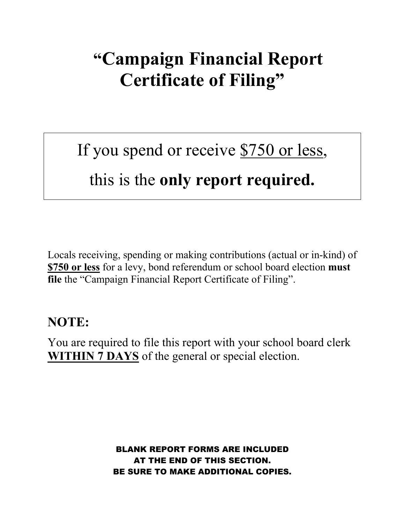## **"Campaign Financial Report Certificate of Filing"**

# If you spend or receive \$750 or less,

### this is the **only report required.**

Locals receiving, spending or making contributions (actual or in-kind) of **\$750 or less** for a levy, bond referendum or school board election **must file** the "Campaign Financial Report Certificate of Filing".

#### **NOTE:**

You are required to file this report with your school board clerk **WITHIN 7 DAYS** of the general or special election.

> BLANK REPORT FORMS ARE INCLUDED AT THE END OF THIS SECTION. BE SURE TO MAKE ADDITIONAL COPIES.